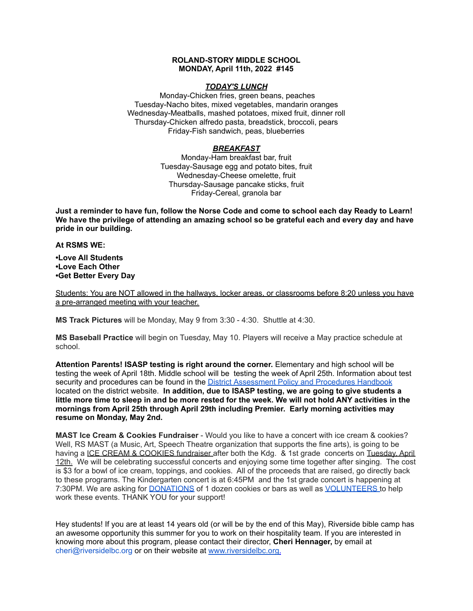### **ROLAND-STORY MIDDLE SCHOOL MONDAY, April 11th, 2022 #145**

#### *TODAY'S LUNCH*

Monday-Chicken fries, green beans, peaches Tuesday-Nacho bites, mixed vegetables, mandarin oranges Wednesday-Meatballs, mashed potatoes, mixed fruit, dinner roll Thursday-Chicken alfredo pasta, breadstick, broccoli, pears Friday-Fish sandwich, peas, blueberries

## *BREAKFAST*

Monday-Ham breakfast bar, fruit Tuesday-Sausage egg and potato bites, fruit Wednesday-Cheese omelette, fruit Thursday-Sausage pancake sticks, fruit Friday-Cereal, granola bar

Just a reminder to have fun, follow the Norse Code and come to school each day Ready to Learn! **We have the privilege of attending an amazing school so be grateful each and every day and have pride in our building.**

**At RSMS WE:**

**•Love All Students •Love Each Other •Get Better Every Day**

Students: You are NOT allowed in the hallways, locker areas, or classrooms before 8:20 unless you have a pre-arranged meeting with your teacher.

**MS Track Pictures** will be Monday, May 9 from 3:30 - 4:30. Shuttle at 4:30.

**MS Baseball Practice** will begin on Tuesday, May 10. Players will receive a May practice schedule at school.

**Attention Parents! ISASP testing is right around the corner.** Elementary and high school will be testing the week of April 18th. Middle school will be testing the week of April 25th. Information about test security and procedures can be found in the District [Assessment](https://rolandstory.school/media/Michelle%20Soderstrum/RSCSD_District_Assessment_Poli%20-%20Copy%203.pdf) Policy and Procedures Handbook located on the district website. **In addition, due to ISASP testing, we are going to give students a** little more time to sleep in and be more rested for the week. We will not hold ANY activities in the **mornings from April 25th through April 29th including Premier. Early morning activities may resume on Monday, May 2nd.**

**MAST Ice Cream & Cookies Fundraiser** - Would you like to have a concert with ice cream & cookies? Well, RS MAST (a Music, Art, Speech Theatre organization that supports the fine arts), is going to be having a ICE CREAM & COOKIES fundraiser after both the Kdg. & 1st grade concerts on Tuesday. April 12th. We will be celebrating successful concerts and enjoying some time together after singing. The cost is \$3 for a bowl of ice cream, toppings, and cookies. All of the proceeds that are raised, go directly back to these programs. The Kindergarten concert is at 6:45PM and the 1st grade concert is happening at 7:30PM. We are asking for **[DONATIONS](https://www.signupgenius.com/go/4090C45ACAC2BA31-kdg)** of 1 dozen cookies or bars as well as **[VOLUNTEERS](https://www.signupgenius.com/go/4090C45ACAC2BA31-volunteers)** to help work these events. THANK YOU for your support!

Hey students! If you are at least 14 years old (or will be by the end of this May), Riverside bible camp has an awesome opportunity this summer for you to work on their hospitality team. If you are interested in knowing more about this program, please contact their director, **Cheri Hennager,** by email at cheri@riversidelbc.org or on their website at [www.riversidelbc.org.](http://www.riversidelbc.org/)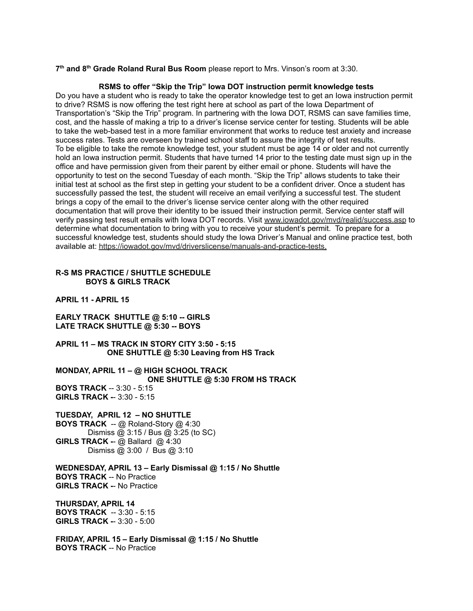**7 th and 8 th Grade Roland Rural Bus Room** please report to Mrs. Vinson's room at 3:30.

## **RSMS to offer "Skip the Trip" Iowa DOT instruction permit knowledge tests**

Do you have a student who is ready to take the operator knowledge test to get an Iowa instruction permit to drive? RSMS is now offering the test right here at school as part of the Iowa Department of Transportation's "Skip the Trip" program. In partnering with the Iowa DOT, RSMS can save families time, cost, and the hassle of making a trip to a driver's license service center for testing. Students will be able to take the web-based test in a more familiar environment that works to reduce test anxiety and increase success rates. Tests are overseen by trained school staff to assure the integrity of test results. To be eligible to take the remote knowledge test, your student must be age 14 or older and not currently hold an Iowa instruction permit. Students that have turned 14 prior to the testing date must sign up in the office and have permission given from their parent by either email or phone. Students will have the opportunity to test on the second Tuesday of each month. "Skip the Trip" allows students to take their initial test at school as the first step in getting your student to be a confident driver. Once a student has successfully passed the test, the student will receive an email verifying a successful test. The student brings a copy of the email to the driver's license service center along with the other required documentation that will prove their identity to be issued their instruction permit. Service center staff will verify passing test result emails with Iowa DOT records. Visit [www.iowadot.gov/mvd/realid/success.asp](http://www.iowadot.gov/mvd/realid/success.asp) to determine what documentation to bring with you to receive your student's permit. To prepare for a successful knowledge test, students should study the Iowa Driver's Manual and online practice test, both available at: <https://iowadot.gov/mvd/driverslicense/manuals-and-practice-tests>.

# **R-S MS PRACTICE / SHUTTLE SCHEDULE BOYS & GIRLS TRACK**

**APRIL 11 - APRIL 15**

**EARLY TRACK SHUTTLE @ 5:10 -- GIRLS LATE TRACK SHUTTLE @ 5:30 -- BOYS**

**APRIL 11 – MS TRACK IN STORY CITY 3:50 - 5:15 ONE SHUTTLE @ 5:30 Leaving from HS Track**

**MONDAY, APRIL 11 – @ HIGH SCHOOL TRACK ONE SHUTTLE @ 5:30 FROM HS TRACK BOYS TRACK** -- 3:30 - 5:15 **GIRLS TRACK -**- 3:30 - 5:15

**TUESDAY, APRIL 12 – NO SHUTTLE BOYS TRACK** -- @ Roland-Story @ 4:30 Dismiss @ 3:15 / Bus @ 3:25 (to SC) **GIRLS TRACK -**- @ Ballard @ 4:30 Dismiss @ 3:00 / Bus @ 3:10

**WEDNESDAY, APRIL 13 – Early Dismissal @ 1:15 / No Shuttle BOYS TRACK** -- No Practice **GIRLS TRACK -**- No Practice

#### **THURSDAY, APRIL 14**

**BOYS TRACK** -- 3:30 - 5:15 **GIRLS TRACK -**- 3:30 - 5:00

**FRIDAY, APRIL 15 – Early Dismissal @ 1:15 / No Shuttle BOYS TRACK** -- No Practice